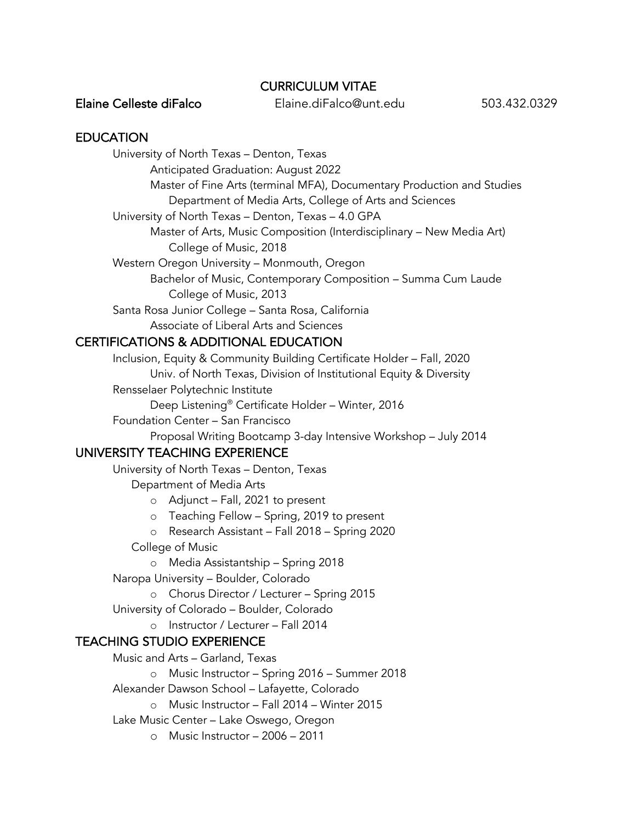### CURRICULUM VITAE

Elaine Celleste diFalco Elaine.diFalco@unt.edu 503.432.0329

### **EDUCATION**

University of North Texas – Denton, Texas

Anticipated Graduation: August 2022

Master of Fine Arts (terminal MFA), Documentary Production and Studies

Department of Media Arts, College of Arts and Sciences

University of North Texas – Denton, Texas – 4.0 GPA

Master of Arts, Music Composition (Interdisciplinary – New Media Art) College of Music, 2018

Western Oregon University – Monmouth, Oregon

Bachelor of Music, Contemporary Composition – Summa Cum Laude College of Music, 2013

Santa Rosa Junior College – Santa Rosa, California Associate of Liberal Arts and Sciences

# CERTIFICATIONS & ADDITIONAL EDUCATION

Inclusion, Equity & Community Building Certificate Holder – Fall, 2020 Univ. of North Texas, Division of Institutional Equity & Diversity Rensselaer Polytechnic Institute

Deep Listening® Certificate Holder – Winter, 2016

Foundation Center – San Francisco

Proposal Writing Bootcamp 3-day Intensive Workshop – July 2014

## UNIVERSITY TEACHING EXPERIENCE

University of North Texas – Denton, Texas

Department of Media Arts

o Adjunct – Fall, 2021 to present

o Teaching Fellow – Spring, 2019 to present

o Research Assistant – Fall 2018 – Spring 2020

College of Music

o Media Assistantship – Spring 2018

Naropa University – Boulder, Colorado

o Chorus Director / Lecturer – Spring 2015

University of Colorado – Boulder, Colorado

o Instructor / Lecturer – Fall 2014

## TEACHING STUDIO EXPERIENCE

Music and Arts – Garland, Texas

o Music Instructor – Spring 2016 – Summer 2018

Alexander Dawson School – Lafayette, Colorado

o Music Instructor – Fall 2014 – Winter 2015

Lake Music Center – Lake Oswego, Oregon

o Music Instructor – 2006 – 2011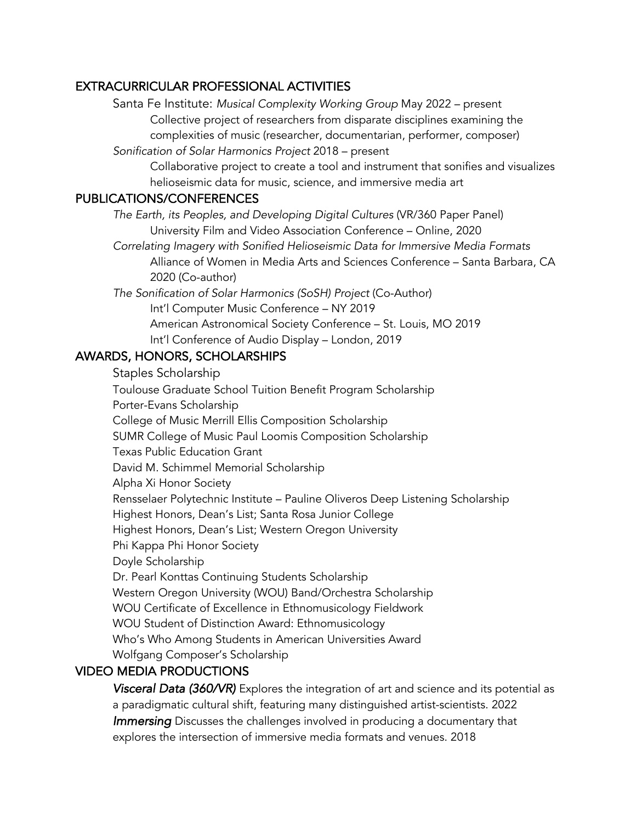## EXTRACURRICULAR PROFESSIONAL ACTIVITIES

Santa Fe Institute: *Musical Complexity Working Group* May 2022 – present Collective project of researchers from disparate disciplines examining the complexities of music (researcher, documentarian, performer, composer)

*Sonification of Solar Harmonics Project* 2018 – present

Collaborative project to create a tool and instrument that sonifies and visualizes helioseismic data for music, science, and immersive media art

## PUBLICATIONS/CONFERENCES

 *The Earth, its Peoples, and Developing Digital Cultures* (VR/360 Paper Panel) University Film and Video Association Conference – Online, 2020

*Correlating Imagery with Sonified Helioseismic Data for Immersive Media Formats* Alliance of Women in Media Arts and Sciences Conference – Santa Barbara, CA 2020 (Co-author)

 *The Sonification of Solar Harmonics (SoSH) Project* (Co-Author) Int'l Computer Music Conference – NY 2019 American Astronomical Society Conference – St. Louis, MO 2019 Int'l Conference of Audio Display – London, 2019

## AWARDS, HONORS, SCHOLARSHIPS

 Staples Scholarship Toulouse Graduate School Tuition Benefit Program Scholarship Porter-Evans Scholarship College of Music Merrill Ellis Composition Scholarship SUMR College of Music Paul Loomis Composition Scholarship Texas Public Education Grant David M. Schimmel Memorial Scholarship Alpha Xi Honor Society Rensselaer Polytechnic Institute – Pauline Oliveros Deep Listening Scholarship Highest Honors, Dean's List; Santa Rosa Junior College Highest Honors, Dean's List; Western Oregon University Phi Kappa Phi Honor Society Doyle Scholarship Dr. Pearl Konttas Continuing Students Scholarship Western Oregon University (WOU) Band/Orchestra Scholarship WOU Certificate of Excellence in Ethnomusicology Fieldwork WOU Student of Distinction Award: Ethnomusicology Who's Who Among Students in American Universities Award Wolfgang Composer's Scholarship

# VIDEO MEDIA PRODUCTIONS

*Visceral Data (360/VR)* Explores the integration of art and science and its potential as a paradigmatic cultural shift, featuring many distinguished artist-scientists. 2022 *Immersing* Discusses the challenges involved in producing a documentary that explores the intersection of immersive media formats and venues. 2018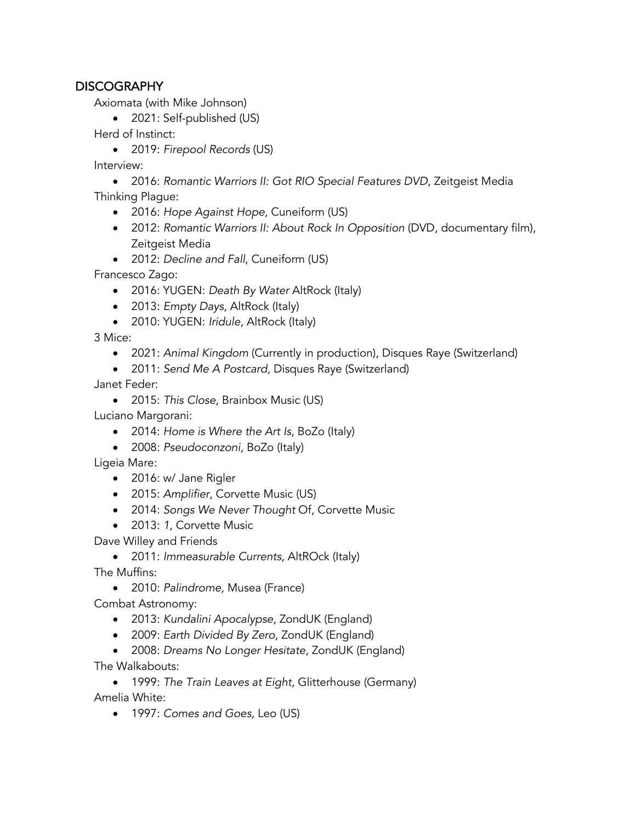## **DISCOGRAPHY**

Axiomata (with Mike Johnson)

• 2021: Self-published (US)

Herd of Instinct:

• 2019: *Firepool Records* (US)

Interview:

• 2016: *Romantic Warriors II: Got RIO Special Features DVD*, Zeitgeist Media Thinking Plague:

- 2016: *Hope Against Hope,* Cuneiform (US)
- 2012: *Romantic Warriors II: About Rock In Opposition (DVD, documentary film),* Zeitgeist Media
- 2012: *Decline and Fall*, Cuneiform (US)

Francesco Zago:

- 2016: YUGEN: *Death By Water* AltRock (Italy)
- 2013: *Empty Days*, AltRock (Italy)
- 2010: YUGEN: *Iridule*, AltRock (Italy)

3 Mice:

- 2021: *Animal Kingdom* (Currently in production), Disques Raye (Switzerland)
- 2011: *Send Me A Postcard*, Disques Raye (Switzerland)

Janet Feder:

• 2015: *This Close*, Brainbox Music (US)

Luciano Margorani:

- 2014: *Home is Where the Art Is*, BoZo (Italy)
- 2008: *Pseudoconzoni,* BoZo (Italy)

Ligeia Mare:

- 2016: w/ Jane Rigler
- 2015: *Amplifier*, Corvette Music (US)
- 2014: *Songs We Never Thought* Of, Corvette Music
- 2013: *1*, Corvette Music

Dave Willey and Friends

• 2011: *Immeasurable Currents,* AltROck (Italy) The Muffins:

• 2010: *Palindrome,* Musea (France)

Combat Astronomy:

- 2013: *Kundalini Apocalypse*, ZondUK (England)
- 2009: *Earth Divided By Zero,* ZondUK (England)
- 2008: *Dreams No Longer Hesitate*, ZondUK (England)

The Walkabouts:

• 1999: *The Train Leaves at Eight,* Glitterhouse (Germany) Amelia White:

• 1997: *Comes and Goes,* Leo (US)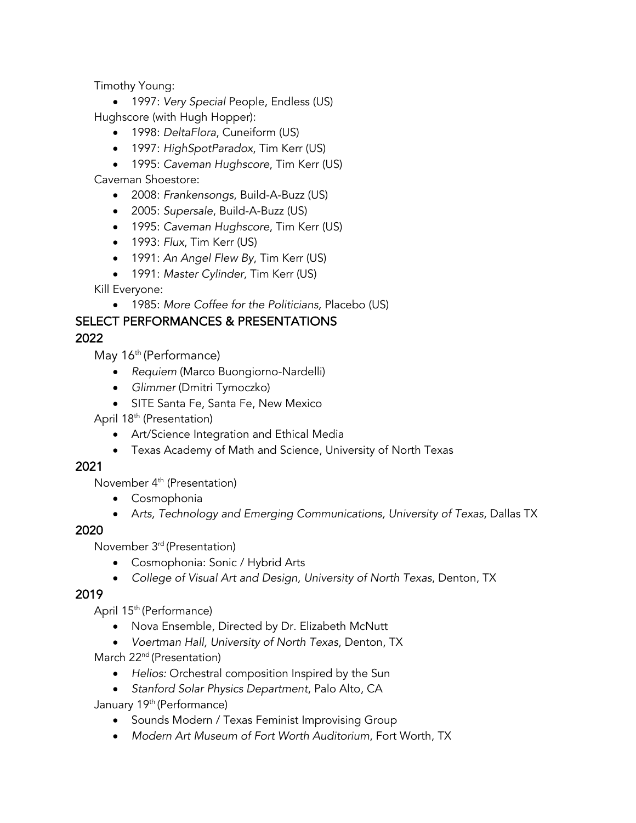Timothy Young:

• 1997: *Very Special* People, Endless (US) Hughscore (with Hugh Hopper):

- 1998: *DeltaFlora*, Cuneiform (US)
- 1997: *HighSpotParadox*, Tim Kerr (US)

• 1995: *Caveman Hughscore*, Tim Kerr (US)

Caveman Shoestore:

- 2008: *Frankensongs*, Build-A-Buzz (US)
- 2005: *Supersale*, Build-A-Buzz (US)
- 1995: *Caveman Hughscore*, Tim Kerr (US)
- 1993: *Flux*, Tim Kerr (US)
- 1991: *An Angel Flew By*, Tim Kerr (US)

• 1991: *Master Cylinder,* Tim Kerr (US)

Kill Everyone:

• 1985: *More Coffee for the Politicians,* Placebo (US)

# SELECT PERFORMANCES & PRESENTATIONS

### 2022

May 16<sup>th</sup> (Performance)

- *Requiem* (Marco Buongiorno-Nardelli)
- *Glimmer* (Dmitri Tymoczko)
- SITE Santa Fe, Santa Fe, New Mexico

April 18th (Presentation)

- Art/Science Integration and Ethical Media
- Texas Academy of Math and Science, University of North Texas

### 2021

November 4th (Presentation)

- Cosmophonia
- A*rts, Technology and Emerging Communications, University of Texas*, Dallas TX

### 2020

November 3rd (Presentation)

- Cosmophonia: Sonic / Hybrid Arts
- *College of Visual Art and Design, University of North Texas*, Denton, TX

### 2019

April 15<sup>th</sup> (Performance)

- Nova Ensemble, Directed by Dr. Elizabeth McNutt
- *Voertman Hall, University of North Texas*, Denton, TX

March 22<sup>nd</sup> (Presentation)

- *Helios:* Orchestral composition Inspired by the Sun
- *Stanford Solar Physics Department*, Palo Alto, CA

January 19<sup>th</sup> (Performance)

- Sounds Modern / Texas Feminist Improvising Group
- *Modern Art Museum of Fort Worth Auditorium*, Fort Worth, TX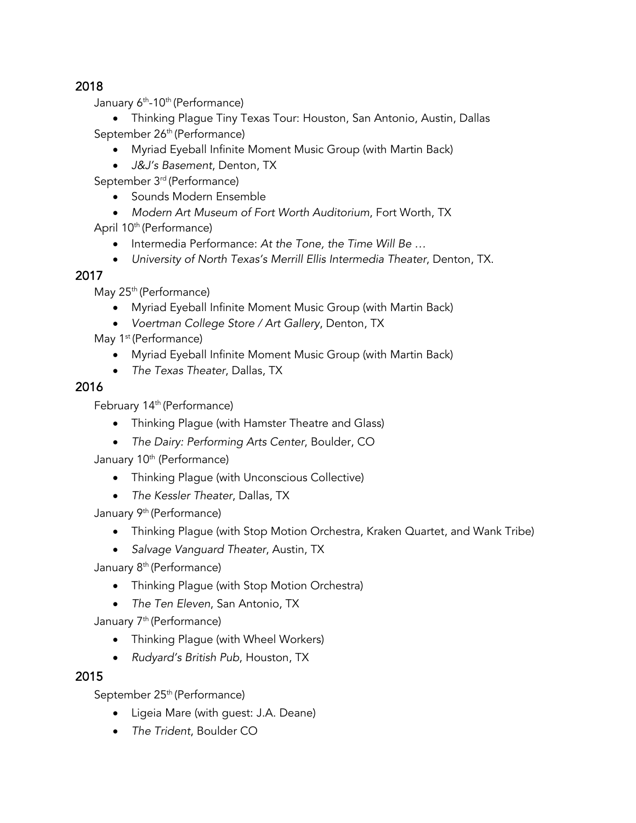## 2018

January 6<sup>th</sup>-10<sup>th</sup> (Performance)

• Thinking Plague Tiny Texas Tour: Houston, San Antonio, Austin, Dallas September 26<sup>th</sup> (Performance)

- Myriad Eyeball Infinite Moment Music Group (with Martin Back)
- *J&J's Basement*, Denton, TX

September 3<sup>rd</sup> (Performance)

- Sounds Modern Ensemble
- *Modern Art Museum of Fort Worth Auditorium*, Fort Worth, TX

April 10<sup>th</sup> (Performance)

- Intermedia Performance: *At the Tone, the Time Will Be …*
- *University of North Texas's Merrill Ellis Intermedia Theater*, Denton, TX.

# 2017

May 25<sup>th</sup> (Performance)

- Myriad Eyeball Infinite Moment Music Group (with Martin Back)
- *Voertman College Store / Art Gallery*, Denton, TX

May 1<sup>st</sup> (Performance)

- Myriad Eyeball Infinite Moment Music Group (with Martin Back)
- *The Texas Theater*, Dallas, TX

## 2016

February 14<sup>th</sup> (Performance)

- Thinking Plague (with Hamster Theatre and Glass)
- *The Dairy: Performing Arts Center*, Boulder, CO

January 10<sup>th</sup> (Performance)

- Thinking Plague (with Unconscious Collective)
- *The Kessler Theater*, Dallas, TX

January 9<sup>th</sup> (Performance)

- Thinking Plague (with Stop Motion Orchestra, Kraken Quartet, and Wank Tribe)
- *Salvage Vanguard Theater*, Austin, TX

January 8<sup>th</sup> (Performance)

- Thinking Plague (with Stop Motion Orchestra)
- *The Ten Eleven*, San Antonio, TX

January 7<sup>th</sup> (Performance)

- Thinking Plague (with Wheel Workers)
- *Rudyard's British Pub*, Houston, TX

## 2015

September 25<sup>th</sup> (Performance)

- Ligeia Mare (with guest: J.A. Deane)
- *The Trident*, Boulder CO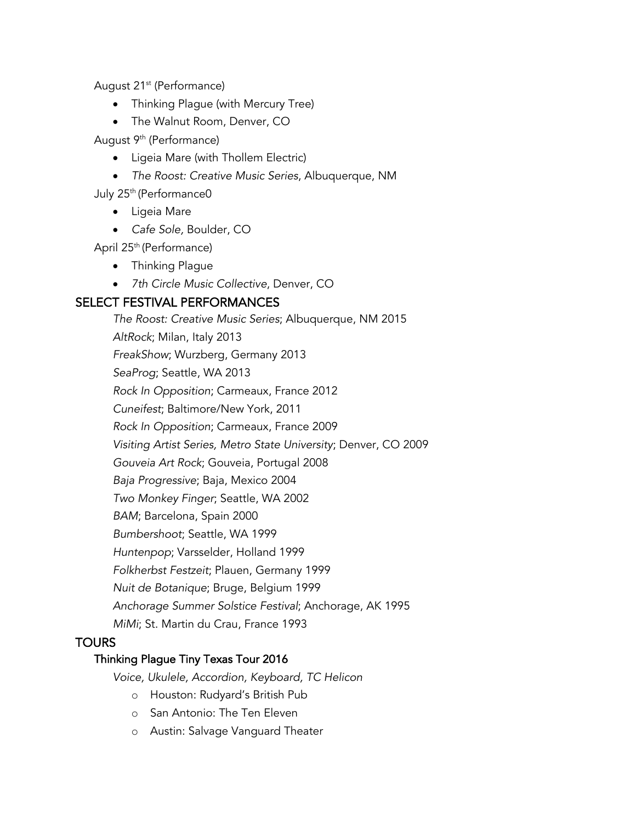August 21<sup>st</sup> (Performance)

- Thinking Plague (with Mercury Tree)
- The Walnut Room, Denver, CO

August 9<sup>th</sup> (Performance)

- Ligeia Mare (with Thollem Electric)
- *The Roost: Creative Music Series*, Albuquerque, NM

July 25<sup>th</sup> (Performance0

- Ligeia Mare
- *Cafe Sole,* Boulder, CO

April 25<sup>th</sup> (Performance)

- Thinking Plague
- *7th Circle Music Collective*, Denver, CO

## SELECT FESTIVAL PERFORMANCES

*The Roost: Creative Music Series*; Albuquerque, NM 2015 *AltRock*; Milan, Italy 2013 *FreakShow*; Wurzberg, Germany 2013 *SeaProg*; Seattle, WA 2013 *Rock In Opposition*; Carmeaux, France 2012 *Cuneifest*; Baltimore/New York, 2011 *Rock In Opposition*; Carmeaux, France 2009 *Visiting Artist Series, Metro State University*; Denver, CO 2009 *Gouveia Art Rock*; Gouveia, Portugal 2008 *Baja Progressive*; Baja, Mexico 2004 *Two Monkey Finger*; Seattle, WA 2002 *BAM*; Barcelona, Spain 2000 *Bumbershoot*; Seattle, WA 1999 *Huntenpop*; Varsselder, Holland 1999 *Folkherbst Festzeit*; Plauen, Germany 1999 *Nuit de Botanique*; Bruge, Belgium 1999 *Anchorage Summer Solstice Festival*; Anchorage, AK 1995 *MiMi*; St. Martin du Crau, France 1993

### **TOURS**

#### Thinking Plague Tiny Texas Tour 2016

*Voice, Ukulele, Accordion, Keyboard, TC Helicon*

- o Houston: Rudyard's British Pub
- o San Antonio: The Ten Eleven
- o Austin: Salvage Vanguard Theater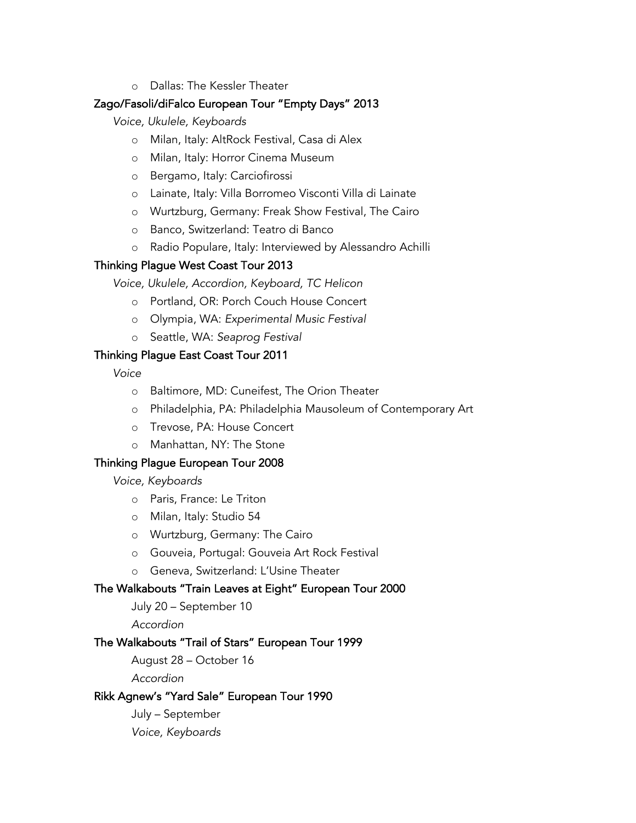o Dallas: The Kessler Theater

### Zago/Fasoli/diFalco European Tour "Empty Days" 2013

*Voice, Ukulele, Keyboards*

- o Milan, Italy: AltRock Festival, Casa di Alex
- o Milan, Italy: Horror Cinema Museum
- o Bergamo, Italy: Carciofirossi
- o Lainate, Italy: Villa Borromeo Visconti Villa di Lainate
- o Wurtzburg, Germany: Freak Show Festival, The Cairo
- o Banco, Switzerland: Teatro di Banco
- o Radio Populare, Italy: Interviewed by Alessandro Achilli

#### Thinking Plague West Coast Tour 2013

*Voice, Ukulele, Accordion, Keyboard, TC Helicon*

- o Portland, OR: Porch Couch House Concert
- o Olympia, WA: *Experimental Music Festival*
- o Seattle, WA: *Seaprog Festival*

### Thinking Plague East Coast Tour 2011

*Voice*

- o Baltimore, MD: Cuneifest, The Orion Theater
- o Philadelphia, PA: Philadelphia Mausoleum of Contemporary Art
- o Trevose, PA: House Concert
- o Manhattan, NY: The Stone

### Thinking Plague European Tour 2008

*Voice, Keyboards*

- o Paris, France: Le Triton
- o Milan, Italy: Studio 54
- o Wurtzburg, Germany: The Cairo
- o Gouveia, Portugal: Gouveia Art Rock Festival
- o Geneva, Switzerland: L'Usine Theater

### The Walkabouts "Train Leaves at Eight" European Tour 2000

July 20 – September 10

*Accordion*

#### The Walkabouts "Trail of Stars" European Tour 1999

August 28 – October 16

*Accordion*

### Rikk Agnew's "Yard Sale" European Tour 1990

July – September *Voice, Keyboards*